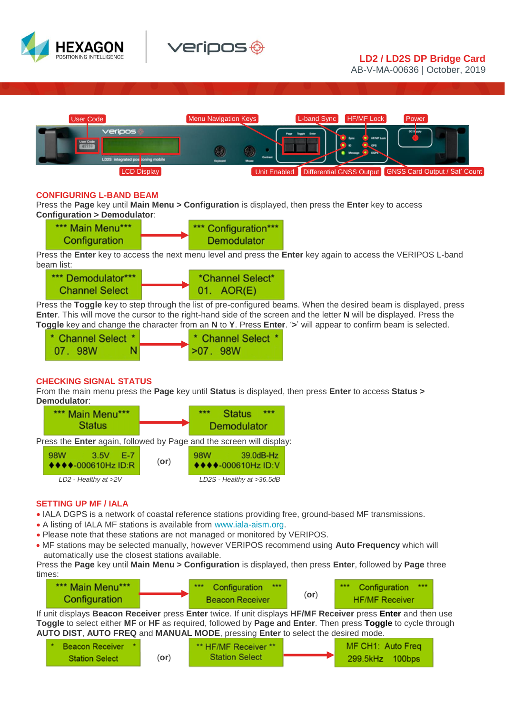



AB-V-MA-00636 | October, 2019



### **CONFIGURING L-BAND BEAM**

Press the **Page** key until **Main Menu > Configuration** is displayed, then press the **Enter** key to access **Configuration > Demodulator**:

| *** Main Menu*** | *** Configuration*** |
|------------------|----------------------|
| Configuration    | Demodulator          |

 $\overline{a}$ Press the **Enter** key to access the next menu level and press the **Enter** key again to access the VERIPOS L-band beam list:

| *** Demodulator***    |  | *Channel Select* |  |
|-----------------------|--|------------------|--|
| <b>Channel Select</b> |  | 01. AOR(E)       |  |

 $\overline{a}$ Press the **Toggle** key to step through the list of pre-configured beams. When the desired beam is displayed, press **Enter**. This will move the cursor to the right-hand side of the screen and the letter **N** will be displayed. Press the **Toggle** key and change the character from an **N** to **Y**. Press **Enter**. '**>**' will appear to confirm beam is selected.

| * Channel Select * |    | * Channel Select * |
|--------------------|----|--------------------|
| 07.98W             | N. | >07.98W            |

# **CHECKING SIGNAL STATUS**

From the main menu press the **Page** key until **Status** is displayed, then press **Enter** to access **Status > Demodulator**:



# **SETTING UP MF / IALA**

- IALA DGPS is a network of coastal reference stations providing free, ground-based MF transmissions.
- A listing of IALA MF stations is available from [www.iala-aism.org.](https://www.iala-aism.org/technical/positioning-navigation-and-timing/world-dgnss-stations-list/)
- Please note that these stations are not managed or monitored by VERIPOS.
- MF stations may be selected manually, however VERIPOS recommend using **Auto Frequency** which will automatically use the closest stations available.

Press the **Page** key until **Main Menu > Configuration** is displayed, then press **Enter**, followed by **Page** three times:

| *** Main Menu*** | Configuration<br>***   |            | ***<br>Configuration<br>大大大 |
|------------------|------------------------|------------|-----------------------------|
| Configuration    | <b>Beacon Receiver</b> | $($ or $)$ | <b>HF/MF Receiver</b>       |

If unit displays **Beacon Receiver** press **Enter** twice. If unit displays **HF/MF Receiver** press **Enter** and then use **Toggle** to select either **MF** or **HF** as required, followed by **Page** and **Enter**. Then press **Toggle** to cycle through **AUTO DIST**, **AUTO FREQ** and **MANUAL MODE**, pressing **Enter** to select the desired mode.

| * Beacon Receiver     |      | ** HF/MF Receiver **  | MF CH1: Auto Freg |
|-----------------------|------|-----------------------|-------------------|
| <b>Station Select</b> | (or) | <b>Station Select</b> | 299.5kHz 100bps   |